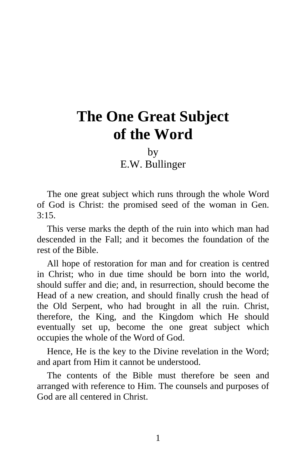## **The One Great Subject of the Word**

by E.W. Bullinger

The one great subject which runs through the whole Word of God is Christ: the promised seed of the woman in Gen.  $3:15.$ 

This verse marks the depth of the ruin into which man had descended in the Fall; and it becomes the foundation of the rest of the Bible.

All hope of restoration for man and for creation is centred in Christ; who in due time should be born into the world, should suffer and die; and, in resurrection, should become the Head of a new creation, and should finally crush the head of the Old Serpent, who had brought in all the ruin. Christ, therefore, the King, and the Kingdom which He should eventually set up, become the one great subject which occupies the whole of the Word of God.

Hence, He is the key to the Divine revelation in the Word; and apart from Him it cannot be understood.

The contents of the Bible must therefore be seen and arranged with reference to Him. The counsels and purposes of God are all centered in Christ.

1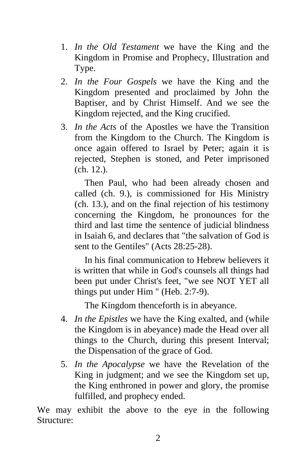- 1. *In the Old Testament* we have the King and the Kingdom in Promise and Prophecy, Illustration and Type.
- 2. *In the Four Gospels* we have the King and the Kingdom presented and proclaimed by John the Baptiser, and by Christ Himself. And we see the Kingdom rejected, and the King crucified.
- 3. *In the Acts* of the Apostles we have the Transition from the Kingdom to the Church. The Kingdom is once again offered to Israel by Peter; again it is rejected, Stephen is stoned, and Peter imprisoned (ch. 12.).

Then Paul, who had been already chosen and called (ch. 9.), is commissioned for His Ministry (ch. 13.), and on the final rejection of his testimony concerning the Kingdom, he pronounces for the third and last time the sentence of judicial blindness in Isaiah 6, and declares that "the salvation of God is sent to the Gentiles" (Acts 28:25-28).

In his final communication to Hebrew believers it is written that while in God's counsels all things had been put under Christ's feet, "we see NOT YET all things put under Him " (Heb. 2:7-9).

The Kingdom thenceforth is in abeyance.

- 4. *In the Epistles* we have the King exalted, and (while the Kingdom is in abeyance) made the Head over all things to the Church, during this present Interval; the Dispensation of the grace of God.
- 5. *In the Apocalypse* we have the Revelation of the King in judgment; and we see the Kingdom set up, the King enthroned in power and glory, the promise fulfilled, and prophecy ended.

We may exhibit the above to the eye in the following Structure: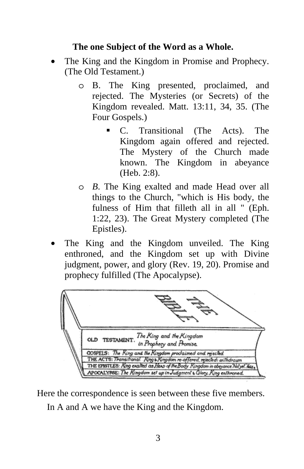## **The one Subject of the Word as a Whole.**

- The King and the Kingdom in Promise and Prophecy. (The Old Testament.)
	- o B. The King presented, proclaimed, and rejected. The Mysteries (or Secrets) of the Kingdom revealed. Matt. 13:11, 34, 35. (The Four Gospels.)
		- C. Transitional (The Acts). The Kingdom again offered and rejected. The Mystery of the Church made known. The Kingdom in abeyance (Heb. 2:8).
	- o *B*. The King exalted and made Head over all things to the Church, "which is His body, the fulness of Him that filleth all in all " (Eph. 1:22, 23). The Great Mystery completed (The Epistles).
- The King and the Kingdom unveiled. The King enthroned, and the Kingdom set up with Divine judgment, power, and glory (Rev. 19, 20). Promise and prophecy fulfilled (The Apocalypse).



Here the correspondence is seen between these five members. In A and A we have the King and the Kingdom.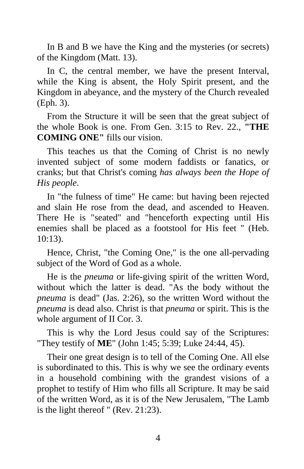In B and B we have the King and the mysteries (or secrets) of the Kingdom (Matt. 13).

In C, the central member, we have the present Interval, while the King is absent, the Holy Spirit present, and the Kingdom in abeyance, and the mystery of the Church revealed (Eph. 3).

From the Structure it will be seen that the great subject of the whole Book is one. From Gen. 3:15 to Rev. 22., **"THE COMING ONE"** fills our vision.

This teaches us that the Coming of Christ is no newly invented subject of some modern faddists or fanatics, or cranks; but that Christ's coming *has always been the Hope of His people*.

In "the fulness of time" He came: but having been rejected and slain He rose from the dead, and ascended to Heaven. There He is "seated" and "henceforth expecting until His enemies shall be placed as a footstool for His feet " (Heb. 10:13).

Hence, Christ, "the Coming One," is the one all-pervading subject of the Word of God as a whole.

He is the *pneuma* or life-giving spirit of the written Word, without which the latter is dead. "As the body without the *pneuma* is dead" (Jas. 2:26), so the written Word without the *pneuma* is dead also. Christ is that *pneuma* or spirit. This is the whole argument of II Cor. 3.

This is why the Lord Jesus could say of the Scriptures: "They testify of **ME**" (John 1:45; 5:39; Luke 24:44, 45).

Their one great design is to tell of the Coming One. All else is subordinated to this. This is why we see the ordinary events in a household combining with the grandest visions of a prophet to testify of Him who fills all Scripture. It may be said of the written Word, as it is of the New Jerusalem, "The Lamb is the light thereof " (Rev. 21:23).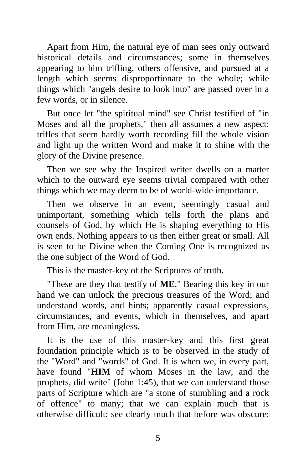Apart from Him, the natural eye of man sees only outward historical details and circumstances; some in themselves appearing to him trifling, others offensive, and pursued at a length which seems disproportionate to the whole; while things which "angels desire to look into" are passed over in a few words, or in silence.

But once let "the spiritual mind" see Christ testified of "in Moses and all the prophets," then all assumes a new aspect: trifles that seem hardly worth recording fill the whole vision and light up the written Word and make it to shine with the glory of the Divine presence.

Then we see why the Inspired writer dwells on a matter which to the outward eye seems trivial compared with other things which we may deem to be of world-wide importance.

Then we observe in an event, seemingly casual and unimportant, something which tells forth the plans and counsels of God, by which He is shaping everything to His own ends. Nothing appears to us then either great or small. All is seen to be Divine when the Coming One is recognized as the one subject of the Word of God.

This is the master-key of the Scriptures of truth.

"These are they that testify of **ME**." Bearing this key in our hand we can unlock the precious treasures of the Word; and understand words, and hints; apparently casual expressions, circumstances, and events, which in themselves, and apart from Him, are meaningless.

It is the use of this master-key and this first great foundation principle which is to be observed in the study of the "Word" and "words" of God. It is when we, in every part, have found "**HIM** of whom Moses in the law, and the prophets, did write" (John 1:45), that we can understand those parts of Scripture which are "a stone of stumbling and a rock of offence" to many; that we can explain much that is otherwise difficult; see clearly much that before was obscure;